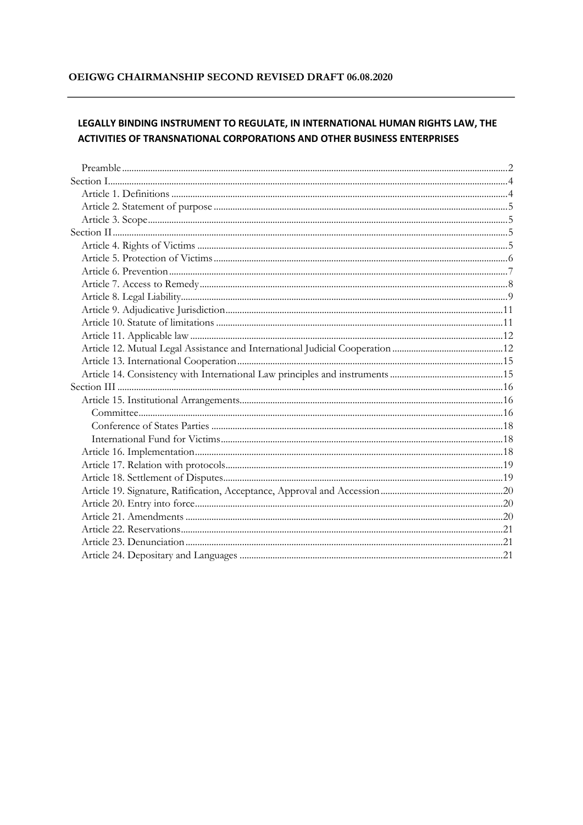#### OEIGWG CHAIRMANSHIP SECOND REVISED DRAFT 06.08.2020

# LEGALLY BINDING INSTRUMENT TO REGULATE, IN INTERNATIONAL HUMAN RIGHTS LAW, THE **ACTIVITIES OF TRANSNATIONAL CORPORATIONS AND OTHER BUSINESS ENTERPRISES**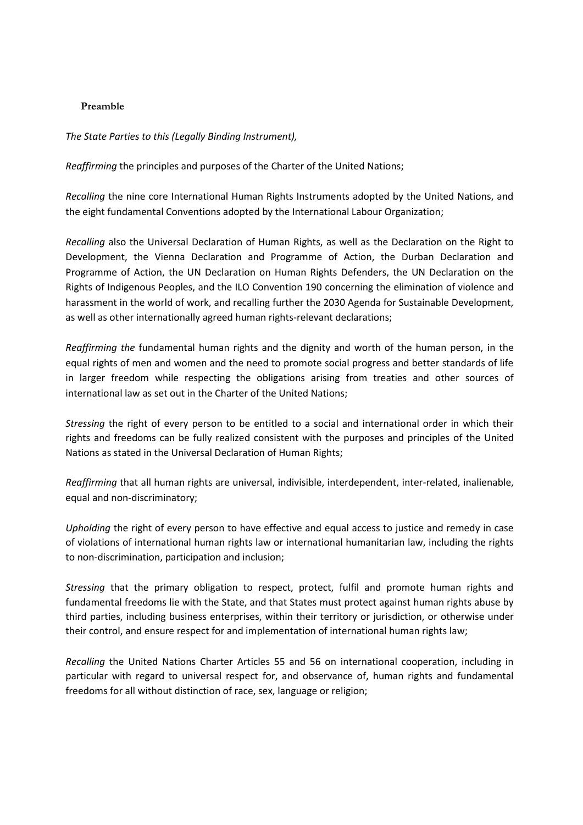#### <span id="page-1-0"></span>**Preamble**

*The State Parties to this (Legally Binding Instrument),*

*Reaffirming* the principles and purposes of the Charter of the United Nations;

*Recalling* the nine core International Human Rights Instruments adopted by the United Nations, and the eight fundamental Conventions adopted by the International Labour Organization;

*Recalling* also the Universal Declaration of Human Rights, as well as the Declaration on the Right to Development, the Vienna Declaration and Programme of Action, the Durban Declaration and Programme of Action, the UN Declaration on Human Rights Defenders, the UN Declaration on the Rights of Indigenous Peoples, and the ILO Convention 190 concerning the elimination of violence and harassment in the world of work, and recalling further the 2030 Agenda for Sustainable Development, as well as other internationally agreed human rights-relevant declarations;

Reaffirming the fundamental human rights and the dignity and worth of the human person, in the equal rights of men and women and the need to promote social progress and better standards of life in larger freedom while respecting the obligations arising from treaties and other sources of international law as set out in the Charter of the United Nations;

*Stressing* the right of every person to be entitled to a social and international order in which their rights and freedoms can be fully realized consistent with the purposes and principles of the United Nations as stated in the Universal Declaration of Human Rights;

*Reaffirming* that all human rights are universal, indivisible, interdependent, inter-related, inalienable, equal and non-discriminatory;

*Upholding* the right of every person to have effective and equal access to justice and remedy in case of violations of international human rights law or international humanitarian law, including the rights to non-discrimination, participation and inclusion;

*Stressing* that the primary obligation to respect, protect, fulfil and promote human rights and fundamental freedoms lie with the State, and that States must protect against human rights abuse by third parties, including business enterprises, within their territory or jurisdiction, or otherwise under their control, and ensure respect for and implementation of international human rights law;

*Recalling* the United Nations Charter Articles 55 and 56 on international cooperation, including in particular with regard to universal respect for, and observance of, human rights and fundamental freedoms for all without distinction of race, sex, language or religion;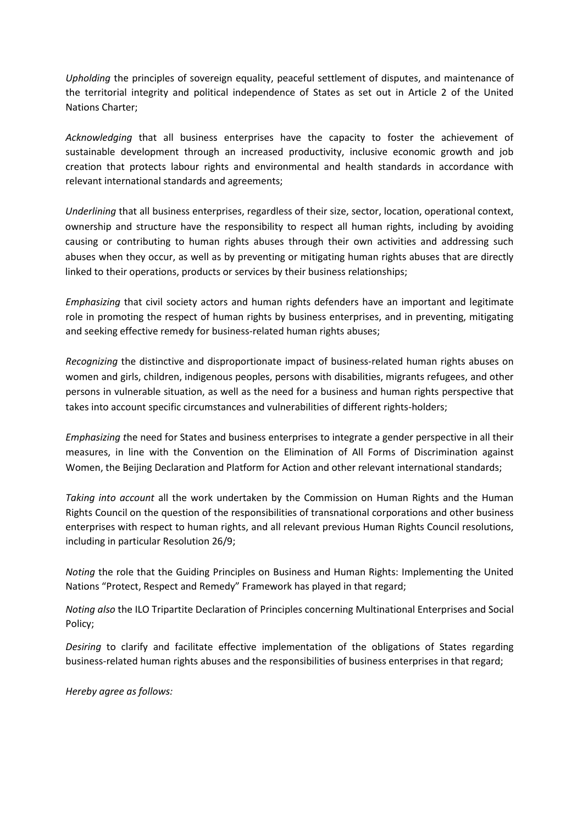*Upholding* the principles of sovereign equality, peaceful settlement of disputes, and maintenance of the territorial integrity and political independence of States as set out in Article 2 of the United Nations Charter;

*Acknowledging* that all business enterprises have the capacity to foster the achievement of sustainable development through an increased productivity, inclusive economic growth and job creation that protects labour rights and environmental and health standards in accordance with relevant international standards and agreements;

*Underlining* that all business enterprises, regardless of their size, sector, location, operational context, ownership and structure have the responsibility to respect all human rights, including by avoiding causing or contributing to human rights abuses through their own activities and addressing such abuses when they occur, as well as by preventing or mitigating human rights abuses that are directly linked to their operations, products or services by their business relationships;

*Emphasizing* that civil society actors and human rights defenders have an important and legitimate role in promoting the respect of human rights by business enterprises, and in preventing, mitigating and seeking effective remedy for business-related human rights abuses;

*Recognizing* the distinctive and disproportionate impact of business-related human rights abuses on women and girls, children, indigenous peoples, persons with disabilities, migrants refugees, and other persons in vulnerable situation, as well as the need for a business and human rights perspective that takes into account specific circumstances and vulnerabilities of different rights-holders;

*Emphasizing t*he need for States and business enterprises to integrate a gender perspective in all their measures, in line with the Convention on the Elimination of All Forms of Discrimination against Women, the Beijing Declaration and Platform for Action and other relevant international standards;

*Taking into account* all the work undertaken by the Commission on Human Rights and the Human Rights Council on the question of the responsibilities of transnational corporations and other business enterprises with respect to human rights, and all relevant previous Human Rights Council resolutions, including in particular Resolution 26/9;

*Noting* the role that the Guiding Principles on Business and Human Rights: Implementing the United Nations "Protect, Respect and Remedy" Framework has played in that regard;

*Noting also* the ILO Tripartite Declaration of Principles concerning Multinational Enterprises and Social Policy;

*Desiring* to clarify and facilitate effective implementation of the obligations of States regarding business-related human rights abuses and the responsibilities of business enterprises in that regard;

*Hereby agree as follows:*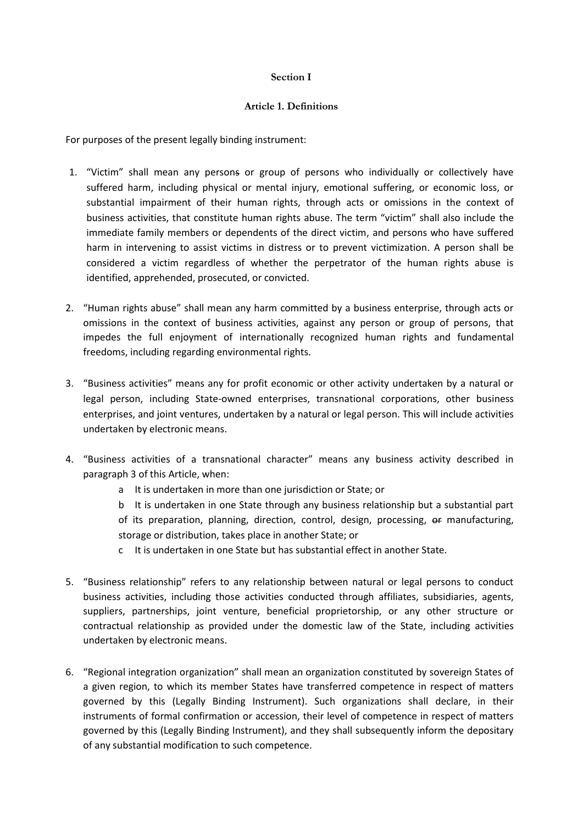#### **Section I**

#### **Article 1. Definitions**

<span id="page-3-1"></span><span id="page-3-0"></span>For purposes of the present legally binding instrument:

- 1. "Victim" shall mean any persons or group of persons who individually or collectively have suffered harm, including physical or mental injury, emotional suffering, or economic loss, or substantial impairment of their human rights, through acts or omissions in the context of business activities, that constitute human rights abuse. The term "victim" shall also include the immediate family members or dependents of the direct victim, and persons who have suffered harm in intervening to assist victims in distress or to prevent victimization. A person shall be considered a victim regardless of whether the perpetrator of the human rights abuse is identified, apprehended, prosecuted, or convicted.
- 2. "Human rights abuse" shall mean any harm committed by a business enterprise, through acts or omissions in the context of business activities, against any person or group of persons, that impedes the full enjoyment of internationally recognized human rights and fundamental freedoms, including regarding environmental rights.
- 3. "Business activities" means any for profit economic or other activity undertaken by a natural or legal person, including State-owned enterprises, transnational corporations, other business enterprises, and joint ventures, undertaken by a natural or legal person. This will include activities undertaken by electronic means.
- 4. "Business activities of a transnational character" means any business activity described in paragraph 3 of this Article, when:
	- a It is undertaken in more than one jurisdiction or State; or
	- b It is undertaken in one State through any business relationship but a substantial part of its preparation, planning, direction, control, design, processing, or manufacturing, storage or distribution, takes place in another State; or
	- c It is undertaken in one State but has substantial effect in another State.
- 5. "Business relationship" refers to any relationship between natural or legal persons to conduct business activities, including those activities conducted through affiliates, subsidiaries, agents, suppliers, partnerships, joint venture, beneficial proprietorship, or any other structure or contractual relationship as provided under the domestic law of the State, including activities undertaken by electronic means.
- 6. "Regional integration organization" shall mean an organization constituted by sovereign States of a given region, to which its member States have transferred competence in respect of matters governed by this (Legally Binding Instrument). Such organizations shall declare, in their instruments of formal confirmation or accession, their level of competence in respect of matters governed by this (Legally Binding Instrument), and they shall subsequently inform the depositary of any substantial modification to such competence.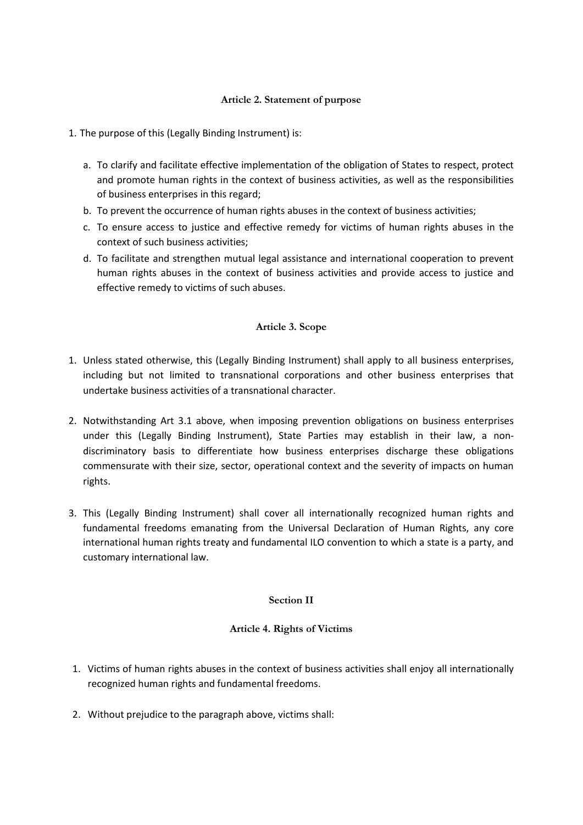### **Article 2. Statement of purpose**

- <span id="page-4-0"></span>1. The purpose of this (Legally Binding Instrument) is:
	- a. To clarify and facilitate effective implementation of the obligation of States to respect, protect and promote human rights in the context of business activities, as well as the responsibilities of business enterprises in this regard;
	- b. To prevent the occurrence of human rights abuses in the context of business activities;
	- c. To ensure access to justice and effective remedy for victims of human rights abuses in the context of such business activities;
	- d. To facilitate and strengthen mutual legal assistance and international cooperation to prevent human rights abuses in the context of business activities and provide access to justice and effective remedy to victims of such abuses.

#### **Article 3. Scope**

- <span id="page-4-1"></span>1. Unless stated otherwise, this (Legally Binding Instrument) shall apply to all business enterprises, including but not limited to transnational corporations and other business enterprises that undertake business activities of a transnational character.
- 2. Notwithstanding Art 3.1 above, when imposing prevention obligations on business enterprises under this (Legally Binding Instrument), State Parties may establish in their law, a nondiscriminatory basis to differentiate how business enterprises discharge these obligations commensurate with their size, sector, operational context and the severity of impacts on human rights.
- 3. This (Legally Binding Instrument) shall cover all internationally recognized human rights and fundamental freedoms emanating from the Universal Declaration of Human Rights, any core international human rights treaty and fundamental ILO convention to which a state is a party, and customary international law.

#### **Section II**

#### **Article 4. Rights of Victims**

- <span id="page-4-3"></span><span id="page-4-2"></span>1. Victims of human rights abuses in the context of business activities shall enjoy all internationally recognized human rights and fundamental freedoms.
- 2. Without prejudice to the paragraph above, victims shall: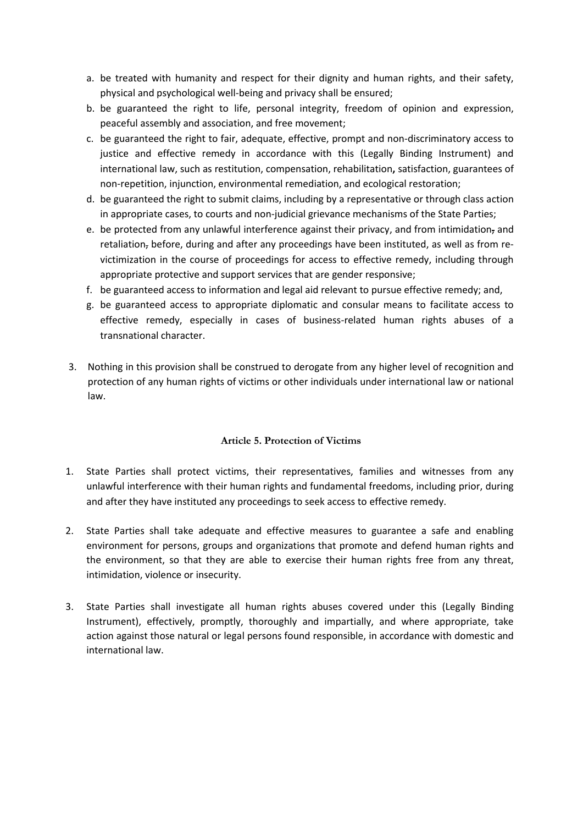- a. be treated with humanity and respect for their dignity and human rights, and their safety, physical and psychological well-being and privacy shall be ensured;
- b. be guaranteed the right to life, personal integrity, freedom of opinion and expression, peaceful assembly and association, and free movement;
- c. be guaranteed the right to fair, adequate, effective, prompt and non-discriminatory access to justice and effective remedy in accordance with this (Legally Binding Instrument) and international law, such as restitution, compensation, rehabilitation**,** satisfaction, guarantees of non-repetition, injunction, environmental remediation, and ecological restoration;
- d. be guaranteed the right to submit claims, including by a representative or through class action in appropriate cases, to courts and non-judicial grievance mechanisms of the State Parties;
- e. be protected from any unlawful interference against their privacy, and from intimidation, and retaliation, before, during and after any proceedings have been instituted, as well as from revictimization in the course of proceedings for access to effective remedy, including through appropriate protective and support services that are gender responsive;
- f. be guaranteed access to information and legal aid relevant to pursue effective remedy; and,
- g. be guaranteed access to appropriate diplomatic and consular means to facilitate access to effective remedy, especially in cases of business-related human rights abuses of a transnational character.
- 3. Nothing in this provision shall be construed to derogate from any higher level of recognition and protection of any human rights of victims or other individuals under international law or national law.

### **Article 5. Protection of Victims**

- <span id="page-5-0"></span>1. State Parties shall protect victims, their representatives, families and witnesses from any unlawful interference with their human rights and fundamental freedoms, including prior, during and after they have instituted any proceedings to seek access to effective remedy.
- 2. State Parties shall take adequate and effective measures to guarantee a safe and enabling environment for persons, groups and organizations that promote and defend human rights and the environment, so that they are able to exercise their human rights free from any threat, intimidation, violence or insecurity.
- 3. State Parties shall investigate all human rights abuses covered under this (Legally Binding Instrument), effectively, promptly, thoroughly and impartially, and where appropriate, take action against those natural or legal persons found responsible, in accordance with domestic and international law.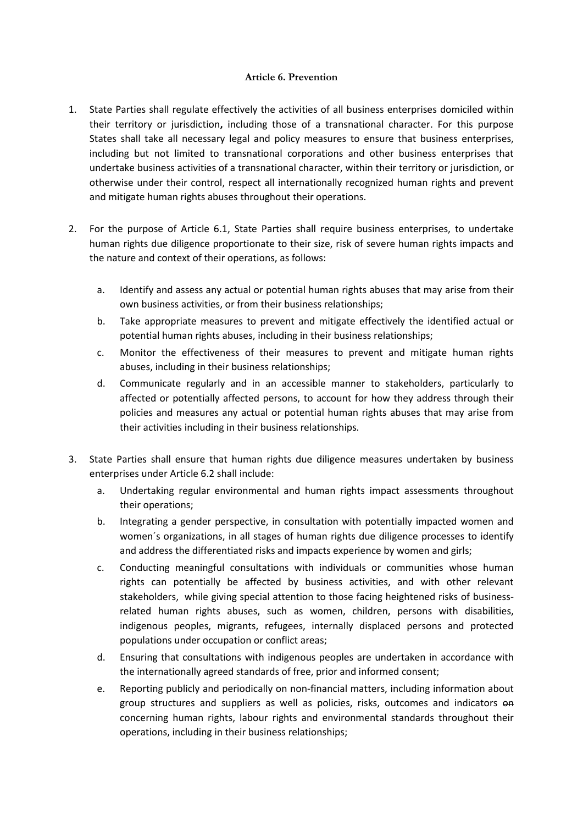#### **Article 6. Prevention**

- <span id="page-6-0"></span>1. State Parties shall regulate effectively the activities of all business enterprises domiciled within their territory or jurisdiction**,** including those of a transnational character. For this purpose States shall take all necessary legal and policy measures to ensure that business enterprises, including but not limited to transnational corporations and other business enterprises that undertake business activities of a transnational character, within their territory or jurisdiction, or otherwise under their control, respect all internationally recognized human rights and prevent and mitigate human rights abuses throughout their operations.
- 2. For the purpose of Article 6.1, State Parties shall require business enterprises, to undertake human rights due diligence proportionate to their size, risk of severe human rights impacts and the nature and context of their operations, as follows:
	- a. Identify and assess any actual or potential human rights abuses that may arise from their own business activities, or from their business relationships;
	- b. Take appropriate measures to prevent and mitigate effectively the identified actual or potential human rights abuses, including in their business relationships;
	- c. Monitor the effectiveness of their measures to prevent and mitigate human rights abuses, including in their business relationships;
	- d. Communicate regularly and in an accessible manner to stakeholders, particularly to affected or potentially affected persons, to account for how they address through their policies and measures any actual or potential human rights abuses that may arise from their activities including in their business relationships.
- 3. State Parties shall ensure that human rights due diligence measures undertaken by business enterprises under Article 6.2 shall include:
	- a. Undertaking regular environmental and human rights impact assessments throughout their operations;
	- b. Integrating a gender perspective, in consultation with potentially impacted women and women´s organizations, in all stages of human rights due diligence processes to identify and address the differentiated risks and impacts experience by women and girls;
	- c. Conducting meaningful consultations with individuals or communities whose human rights can potentially be affected by business activities, and with other relevant stakeholders, while giving special attention to those facing heightened risks of businessrelated human rights abuses, such as women, children, persons with disabilities, indigenous peoples, migrants, refugees, internally displaced persons and protected populations under occupation or conflict areas;
	- d. Ensuring that consultations with indigenous peoples are undertaken in accordance with the internationally agreed standards of free, prior and informed consent;
	- e. Reporting publicly and periodically on non-financial matters, including information about group structures and suppliers as well as policies, risks, outcomes and indicators on concerning human rights, labour rights and environmental standards throughout their operations, including in their business relationships;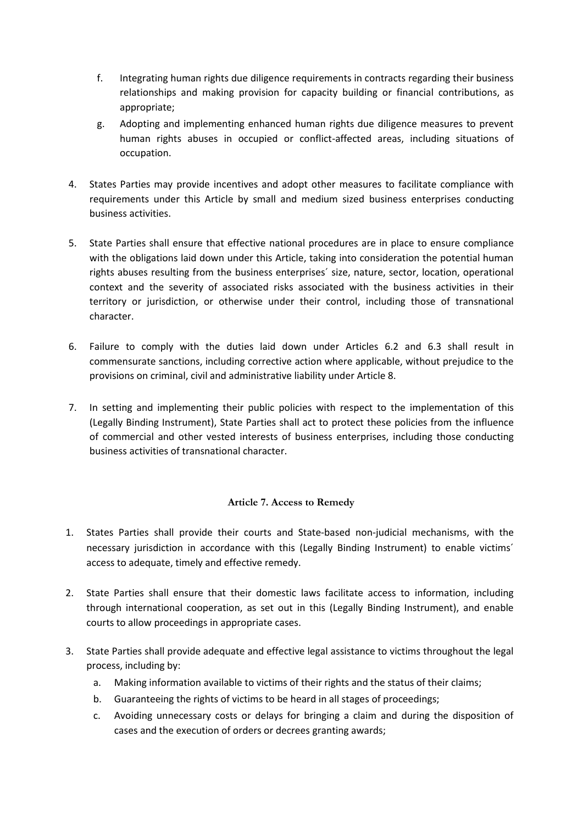- f. Integrating human rights due diligence requirements in contracts regarding their business relationships and making provision for capacity building or financial contributions, as appropriate;
- g. Adopting and implementing enhanced human rights due diligence measures to prevent human rights abuses in occupied or conflict-affected areas, including situations of occupation.
- 4. States Parties may provide incentives and adopt other measures to facilitate compliance with requirements under this Article by small and medium sized business enterprises conducting business activities.
- 5. State Parties shall ensure that effective national procedures are in place to ensure compliance with the obligations laid down under this Article, taking into consideration the potential human rights abuses resulting from the business enterprises´ size, nature, sector, location, operational context and the severity of associated risks associated with the business activities in their territory or jurisdiction, or otherwise under their control, including those of transnational character.
- 6. Failure to comply with the duties laid down under Articles 6.2 and 6.3 shall result in commensurate sanctions, including corrective action where applicable, without prejudice to the provisions on criminal, civil and administrative liability under Article 8.
- 7. In setting and implementing their public policies with respect to the implementation of this (Legally Binding Instrument), State Parties shall act to protect these policies from the influence of commercial and other vested interests of business enterprises, including those conducting business activities of transnational character.

### **Article 7. Access to Remedy**

- <span id="page-7-0"></span>1. States Parties shall provide their courts and State-based non-judicial mechanisms, with the necessary jurisdiction in accordance with this (Legally Binding Instrument) to enable victims´ access to adequate, timely and effective remedy.
- 2. State Parties shall ensure that their domestic laws facilitate access to information, including through international cooperation, as set out in this (Legally Binding Instrument), and enable courts to allow proceedings in appropriate cases.
- 3. State Parties shall provide adequate and effective legal assistance to victims throughout the legal process, including by:
	- a. Making information available to victims of their rights and the status of their claims;
	- b. Guaranteeing the rights of victims to be heard in all stages of proceedings;
	- c. Avoiding unnecessary costs or delays for bringing a claim and during the disposition of cases and the execution of orders or decrees granting awards;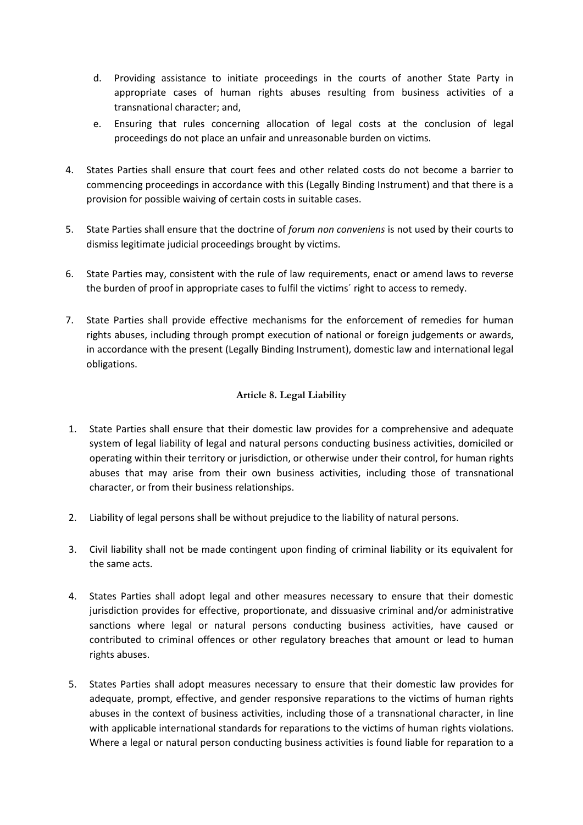- d. Providing assistance to initiate proceedings in the courts of another State Party in appropriate cases of human rights abuses resulting from business activities of a transnational character; and,
- e. Ensuring that rules concerning allocation of legal costs at the conclusion of legal proceedings do not place an unfair and unreasonable burden on victims.
- 4. States Parties shall ensure that court fees and other related costs do not become a barrier to commencing proceedings in accordance with this (Legally Binding Instrument) and that there is a provision for possible waiving of certain costs in suitable cases.
- 5. State Parties shall ensure that the doctrine of *forum non conveniens* is not used by their courts to dismiss legitimate judicial proceedings brought by victims.
- 6. State Parties may, consistent with the rule of law requirements, enact or amend laws to reverse the burden of proof in appropriate cases to fulfil the victims´ right to access to remedy.
- 7. State Parties shall provide effective mechanisms for the enforcement of remedies for human rights abuses, including through prompt execution of national or foreign judgements or awards, in accordance with the present (Legally Binding Instrument), domestic law and international legal obligations.

### **Article 8. Legal Liability**

- <span id="page-8-0"></span>1. State Parties shall ensure that their domestic law provides for a comprehensive and adequate system of legal liability of legal and natural persons conducting business activities, domiciled or operating within their territory or jurisdiction, or otherwise under their control, for human rights abuses that may arise from their own business activities, including those of transnational character, or from their business relationships.
- 2. Liability of legal persons shall be without prejudice to the liability of natural persons.
- 3. Civil liability shall not be made contingent upon finding of criminal liability or its equivalent for the same acts.
- 4. States Parties shall adopt legal and other measures necessary to ensure that their domestic jurisdiction provides for effective, proportionate, and dissuasive criminal and/or administrative sanctions where legal or natural persons conducting business activities, have caused or contributed to criminal offences or other regulatory breaches that amount or lead to human rights abuses.
- 5. States Parties shall adopt measures necessary to ensure that their domestic law provides for adequate, prompt, effective, and gender responsive reparations to the victims of human rights abuses in the context of business activities, including those of a transnational character, in line with applicable international standards for reparations to the victims of human rights violations. Where a legal or natural person conducting business activities is found liable for reparation to a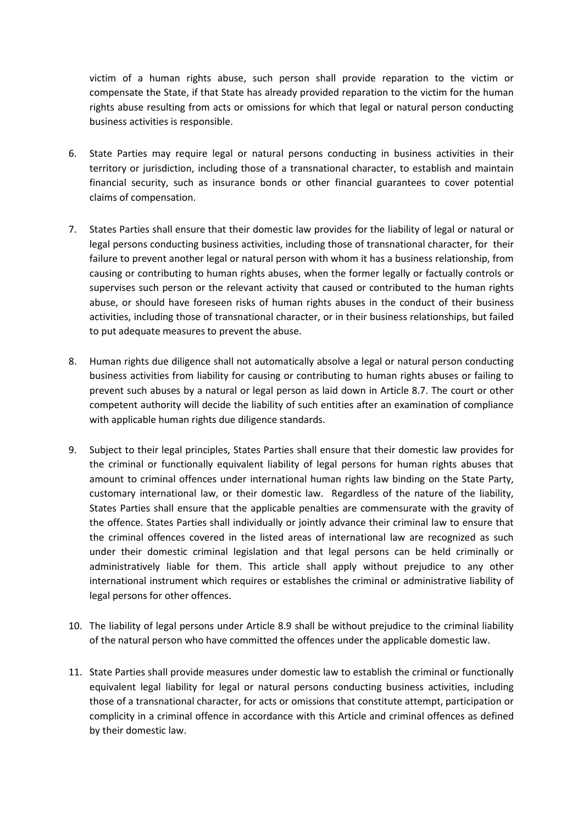victim of a human rights abuse, such person shall provide reparation to the victim or compensate the State, if that State has already provided reparation to the victim for the human rights abuse resulting from acts or omissions for which that legal or natural person conducting business activities is responsible.

- 6. State Parties may require legal or natural persons conducting in business activities in their territory or jurisdiction, including those of a transnational character, to establish and maintain financial security, such as insurance bonds or other financial guarantees to cover potential claims of compensation.
- 7. States Parties shall ensure that their domestic law provides for the liability of legal or natural or legal persons conducting business activities, including those of transnational character, for their failure to prevent another legal or natural person with whom it has a business relationship, from causing or contributing to human rights abuses, when the former legally or factually controls or supervises such person or the relevant activity that caused or contributed to the human rights abuse, or should have foreseen risks of human rights abuses in the conduct of their business activities, including those of transnational character, or in their business relationships, but failed to put adequate measures to prevent the abuse.
- 8. Human rights due diligence shall not automatically absolve a legal or natural person conducting business activities from liability for causing or contributing to human rights abuses or failing to prevent such abuses by a natural or legal person as laid down in Article 8.7. The court or other competent authority will decide the liability of such entities after an examination of compliance with applicable human rights due diligence standards.
- 9. Subject to their legal principles, States Parties shall ensure that their domestic law provides for the criminal or functionally equivalent liability of legal persons for human rights abuses that amount to criminal offences under international human rights law binding on the State Party, customary international law, or their domestic law. Regardless of the nature of the liability, States Parties shall ensure that the applicable penalties are commensurate with the gravity of the offence. States Parties shall individually or jointly advance their criminal law to ensure that the criminal offences covered in the listed areas of international law are recognized as such under their domestic criminal legislation and that legal persons can be held criminally or administratively liable for them. This article shall apply without prejudice to any other international instrument which requires or establishes the criminal or administrative liability of legal persons for other offences.
- 10. The liability of legal persons under Article 8.9 shall be without prejudice to the criminal liability of the natural person who have committed the offences under the applicable domestic law.
- 11. State Parties shall provide measures under domestic law to establish the criminal or functionally equivalent legal liability for legal or natural persons conducting business activities, including those of a transnational character, for acts or omissions that constitute attempt, participation or complicity in a criminal offence in accordance with this Article and criminal offences as defined by their domestic law.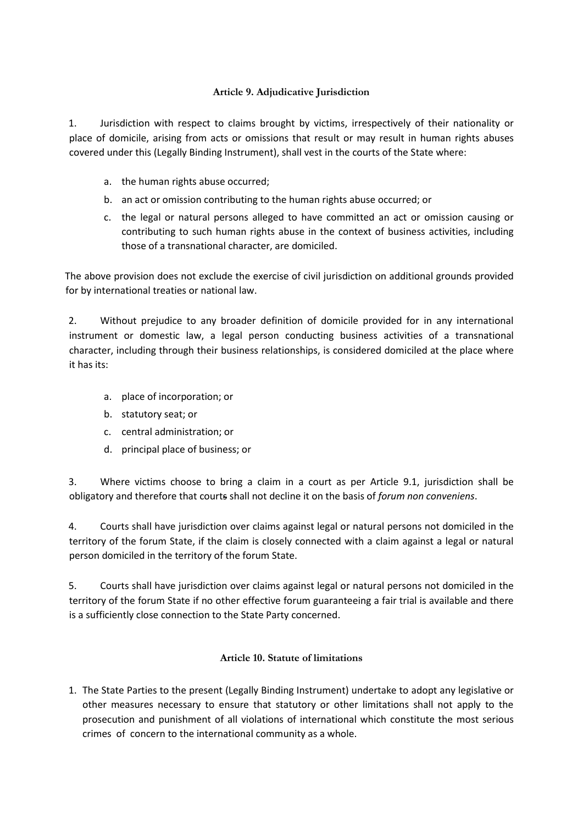# **Article 9. Adjudicative Jurisdiction**

<span id="page-10-0"></span>1. Jurisdiction with respect to claims brought by victims, irrespectively of their nationality or place of domicile, arising from acts or omissions that result or may result in human rights abuses covered under this (Legally Binding Instrument), shall vest in the courts of the State where:

- a. the human rights abuse occurred;
- b. an act or omission contributing to the human rights abuse occurred; or
- c. the legal or natural persons alleged to have committed an act or omission causing or contributing to such human rights abuse in the context of business activities, including those of a transnational character, are domiciled.

The above provision does not exclude the exercise of civil jurisdiction on additional grounds provided for by international treaties or national law.

2. Without prejudice to any broader definition of domicile provided for in any international instrument or domestic law, a legal person conducting business activities of a transnational character, including through their business relationships, is considered domiciled at the place where it has its:

- a. place of incorporation; or
- b. statutory seat; or
- c. central administration; or
- d. principal place of business; or

3. Where victims choose to bring a claim in a court as per Article 9.1, jurisdiction shall be obligatory and therefore that courts shall not decline it on the basis of *forum non conveniens*.

4. Courts shall have jurisdiction over claims against legal or natural persons not domiciled in the territory of the forum State, if the claim is closely connected with a claim against a legal or natural person domiciled in the territory of the forum State.

5. Courts shall have jurisdiction over claims against legal or natural persons not domiciled in the territory of the forum State if no other effective forum guaranteeing a fair trial is available and there is a sufficiently close connection to the State Party concerned.

### **Article 10. Statute of limitations**

<span id="page-10-1"></span>1. The State Parties to the present (Legally Binding Instrument) undertake to adopt any legislative or other measures necessary to ensure that statutory or other limitations shall not apply to the prosecution and punishment of all violations of international which constitute the most serious crimes of concern to the international community as a whole.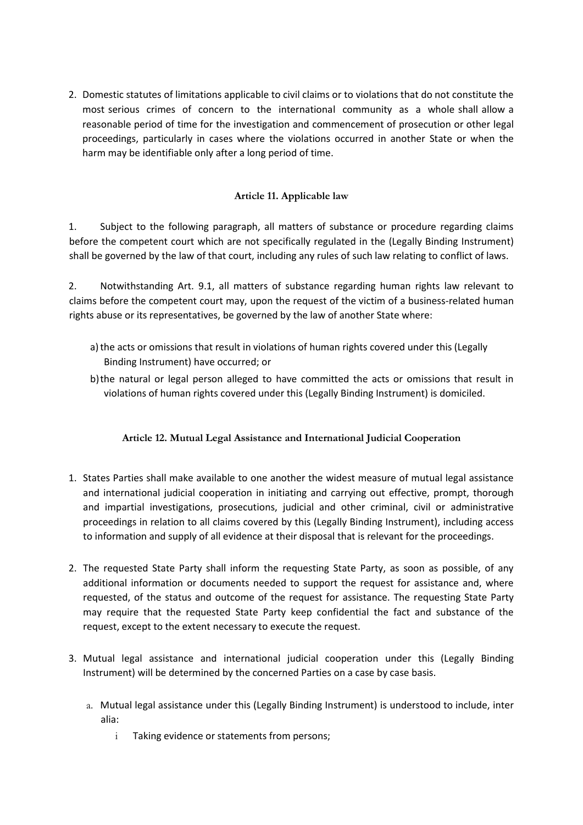2. Domestic statutes of limitations applicable to civil claims or to violations that do not constitute the most serious crimes of concern to the international community as a whole shall allow a reasonable period of time for the investigation and commencement of prosecution or other legal proceedings, particularly in cases where the violations occurred in another State or when the harm may be identifiable only after a long period of time.

## **Article 11. Applicable law**

<span id="page-11-0"></span>1. Subject to the following paragraph, all matters of substance or procedure regarding claims before the competent court which are not specifically regulated in the (Legally Binding Instrument) shall be governed by the law of that court, including any rules of such law relating to conflict of laws.

2. Notwithstanding Art. 9.1, all matters of substance regarding human rights law relevant to claims before the competent court may, upon the request of the victim of a business-related human rights abuse or its representatives, be governed by the law of another State where:

- a) the acts or omissions that result in violations of human rights covered under this (Legally Binding Instrument) have occurred; or
- b)the natural or legal person alleged to have committed the acts or omissions that result in violations of human rights covered under this (Legally Binding Instrument) is domiciled.

# **Article 12. Mutual Legal Assistance and International Judicial Cooperation**

- <span id="page-11-1"></span>1. States Parties shall make available to one another the widest measure of mutual legal assistance and international judicial cooperation in initiating and carrying out effective, prompt, thorough and impartial investigations, prosecutions, judicial and other criminal, civil or administrative proceedings in relation to all claims covered by this (Legally Binding Instrument), including access to information and supply of all evidence at their disposal that is relevant for the proceedings.
- 2. The requested State Party shall inform the requesting State Party, as soon as possible, of any additional information or documents needed to support the request for assistance and, where requested, of the status and outcome of the request for assistance. The requesting State Party may require that the requested State Party keep confidential the fact and substance of the request, except to the extent necessary to execute the request.
- 3. Mutual legal assistance and international judicial cooperation under this (Legally Binding Instrument) will be determined by the concerned Parties on a case by case basis.
	- a. Mutual legal assistance under this (Legally Binding Instrument) is understood to include, inter alia:
		- i Taking evidence or statements from persons;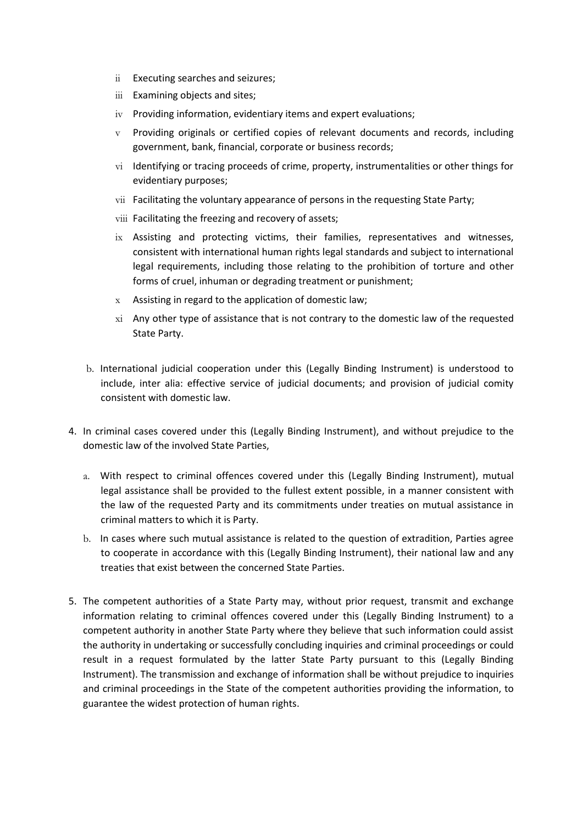- ii Executing searches and seizures;
- iii Examining objects and sites;
- iv Providing information, evidentiary items and expert evaluations;
- $v$  Providing originals or certified copies of relevant documents and records, including government, bank, financial, corporate or business records;
- vi Identifying or tracing proceeds of crime, property, instrumentalities or other things for evidentiary purposes;
- vii Facilitating the voluntary appearance of persons in the requesting State Party;
- viii Facilitating the freezing and recovery of assets;
- ix Assisting and protecting victims, their families, representatives and witnesses, consistent with international human rights legal standards and subject to international legal requirements, including those relating to the prohibition of torture and other forms of cruel, inhuman or degrading treatment or punishment;
- x Assisting in regard to the application of domestic law;
- xi Any other type of assistance that is not contrary to the domestic law of the requested State Party.
- b. International judicial cooperation under this (Legally Binding Instrument) is understood to include, inter alia: effective service of judicial documents; and provision of judicial comity consistent with domestic law.
- 4. In criminal cases covered under this (Legally Binding Instrument), and without prejudice to the domestic law of the involved State Parties,
	- a. With respect to criminal offences covered under this (Legally Binding Instrument), mutual legal assistance shall be provided to the fullest extent possible, in a manner consistent with the law of the requested Party and its commitments under treaties on mutual assistance in criminal matters to which it is Party.
	- b. In cases where such mutual assistance is related to the question of extradition, Parties agree to cooperate in accordance with this (Legally Binding Instrument), their national law and any treaties that exist between the concerned State Parties.
- 5. The competent authorities of a State Party may, without prior request, transmit and exchange information relating to criminal offences covered under this (Legally Binding Instrument) to a competent authority in another State Party where they believe that such information could assist the authority in undertaking or successfully concluding inquiries and criminal proceedings or could result in a request formulated by the latter State Party pursuant to this (Legally Binding Instrument). The transmission and exchange of information shall be without prejudice to inquiries and criminal proceedings in the State of the competent authorities providing the information, to guarantee the widest protection of human rights.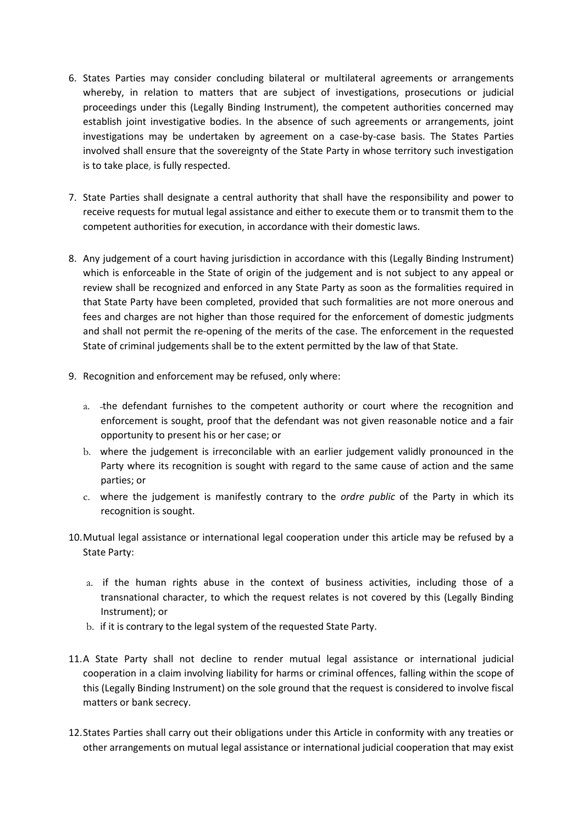- 6. States Parties may consider concluding bilateral or multilateral agreements or arrangements whereby, in relation to matters that are subject of investigations, prosecutions or judicial proceedings under this (Legally Binding Instrument), the competent authorities concerned may establish joint investigative bodies. In the absence of such agreements or arrangements, joint investigations may be undertaken by agreement on a case-by-case basis. The States Parties involved shall ensure that the sovereignty of the State Party in whose territory such investigation is to take place, is fully respected.
- 7. State Parties shall designate a central authority that shall have the responsibility and power to receive requests for mutual legal assistance and either to execute them or to transmit them to the competent authorities for execution, in accordance with their domestic laws.
- 8. Any judgement of a court having jurisdiction in accordance with this (Legally Binding Instrument) which is enforceable in the State of origin of the judgement and is not subject to any appeal or review shall be recognized and enforced in any State Party as soon as the formalities required in that State Party have been completed, provided that such formalities are not more onerous and fees and charges are not higher than those required for the enforcement of domestic judgments and shall not permit the re-opening of the merits of the case. The enforcement in the requested State of criminal judgements shall be to the extent permitted by the law of that State.
- 9. Recognition and enforcement may be refused, only where:
	- a. the defendant furnishes to the competent authority or court where the recognition and enforcement is sought, proof that the defendant was not given reasonable notice and a fair opportunity to present his or her case; or
	- b. where the judgement is irreconcilable with an earlier judgement validly pronounced in the Party where its recognition is sought with regard to the same cause of action and the same parties; or
	- c. where the judgement is manifestly contrary to the *ordre public* of the Party in which its recognition is sought.
- 10.Mutual legal assistance or international legal cooperation under this article may be refused by a State Party:
	- a. if the human rights abuse in the context of business activities, including those of a transnational character, to which the request relates is not covered by this (Legally Binding Instrument); or
	- b. if it is contrary to the legal system of the requested State Party.
- 11.A State Party shall not decline to render mutual legal assistance or international judicial cooperation in a claim involving liability for harms or criminal offences, falling within the scope of this (Legally Binding Instrument) on the sole ground that the request is considered to involve fiscal matters or bank secrecy.
- 12.States Parties shall carry out their obligations under this Article in conformity with any treaties or other arrangements on mutual legal assistance or international judicial cooperation that may exist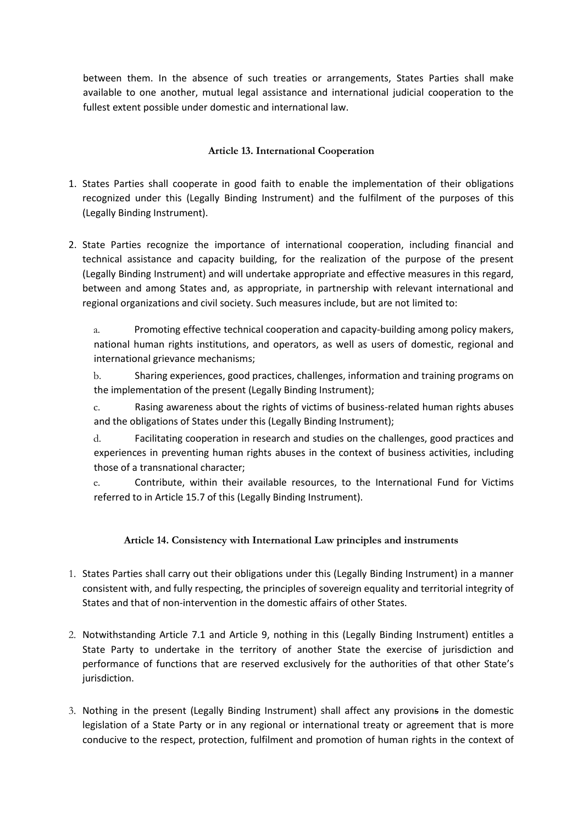between them. In the absence of such treaties or arrangements, States Parties shall make available to one another, mutual legal assistance and international judicial cooperation to the fullest extent possible under domestic and international law.

## **Article 13. International Cooperation**

- <span id="page-14-0"></span>1. States Parties shall cooperate in good faith to enable the implementation of their obligations recognized under this (Legally Binding Instrument) and the fulfilment of the purposes of this (Legally Binding Instrument).
- 2. State Parties recognize the importance of international cooperation, including financial and technical assistance and capacity building, for the realization of the purpose of the present (Legally Binding Instrument) and will undertake appropriate and effective measures in this regard, between and among States and, as appropriate, in partnership with relevant international and regional organizations and civil society. Such measures include, but are not limited to:

a. Promoting effective technical cooperation and capacity-building among policy makers, national human rights institutions, and operators, as well as users of domestic, regional and international grievance mechanisms;

b. Sharing experiences, good practices, challenges, information and training programs on the implementation of the present (Legally Binding Instrument);

c. Rasing awareness about the rights of victims of business-related human rights abuses and the obligations of States under this (Legally Binding Instrument);

d. Facilitating cooperation in research and studies on the challenges, good practices and experiences in preventing human rights abuses in the context of business activities, including those of a transnational character;

e. Contribute, within their available resources, to the International Fund for Victims referred to in Article 15.7 of this (Legally Binding Instrument).

### **Article 14. Consistency with International Law principles and instruments**

- <span id="page-14-1"></span>1. States Parties shall carry out their obligations under this (Legally Binding Instrument) in a manner consistent with, and fully respecting, the principles of sovereign equality and territorial integrity of States and that of non-intervention in the domestic affairs of other States.
- 2. Notwithstanding Article 7.1 and Article 9, nothing in this (Legally Binding Instrument) entitles a State Party to undertake in the territory of another State the exercise of jurisdiction and performance of functions that are reserved exclusively for the authorities of that other State's jurisdiction.
- 3. Nothing in the present (Legally Binding Instrument) shall affect any provisions in the domestic legislation of a State Party or in any regional or international treaty or agreement that is more conducive to the respect, protection, fulfilment and promotion of human rights in the context of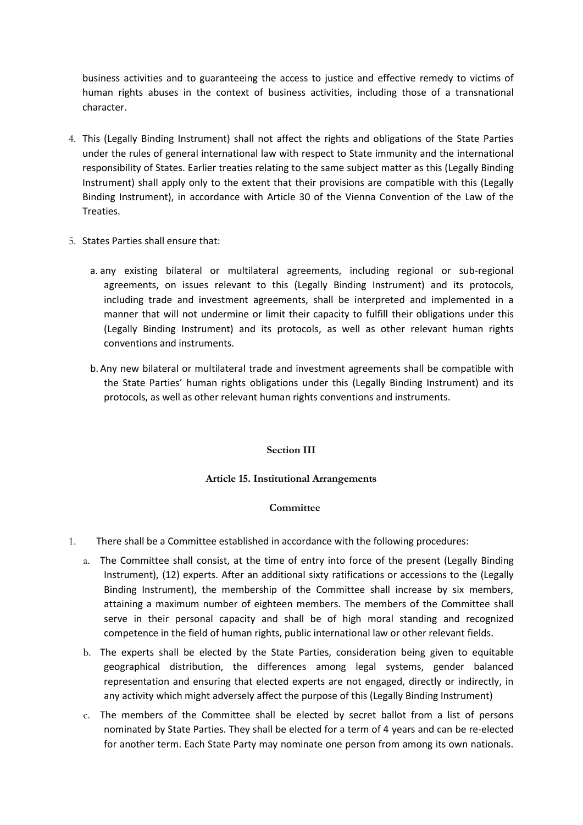business activities and to guaranteeing the access to justice and effective remedy to victims of human rights abuses in the context of business activities, including those of a transnational character.

- 4. This (Legally Binding Instrument) shall not affect the rights and obligations of the State Parties under the rules of general international law with respect to State immunity and the international responsibility of States. Earlier treaties relating to the same subject matter as this (Legally Binding Instrument) shall apply only to the extent that their provisions are compatible with this (Legally Binding Instrument), in accordance with Article 30 of the Vienna Convention of the Law of the Treaties.
- 5. States Parties shall ensure that:
	- a. any existing bilateral or multilateral agreements, including regional or sub-regional agreements, on issues relevant to this (Legally Binding Instrument) and its protocols, including trade and investment agreements, shall be interpreted and implemented in a manner that will not undermine or limit their capacity to fulfill their obligations under this (Legally Binding Instrument) and its protocols, as well as other relevant human rights conventions and instruments.
	- b. Any new bilateral or multilateral trade and investment agreements shall be compatible with the State Parties' human rights obligations under this (Legally Binding Instrument) and its protocols, as well as other relevant human rights conventions and instruments.

#### **Section III**

#### **Article 15. Institutional Arrangements**

#### **Committee**

- <span id="page-15-2"></span><span id="page-15-1"></span><span id="page-15-0"></span>1. There shall be a Committee established in accordance with the following procedures:
	- a. The Committee shall consist, at the time of entry into force of the present (Legally Binding Instrument), (12) experts. After an additional sixty ratifications or accessions to the (Legally Binding Instrument), the membership of the Committee shall increase by six members, attaining a maximum number of eighteen members. The members of the Committee shall serve in their personal capacity and shall be of high moral standing and recognized competence in the field of human rights, public international law or other relevant fields.
	- b. The experts shall be elected by the State Parties, consideration being given to equitable geographical distribution, the differences among legal systems, gender balanced representation and ensuring that elected experts are not engaged, directly or indirectly, in any activity [which might](https://www.lawinsider.com/clause/conflicts-of-interest) adversely affect the purpose of this (Legally Binding Instrument)
	- c. The members of the Committee shall be elected by secret ballot from a list of persons nominated by State Parties. They shall be elected for a term of 4 years and can be re-elected for another term. Each State Party may nominate one person from among its own nationals.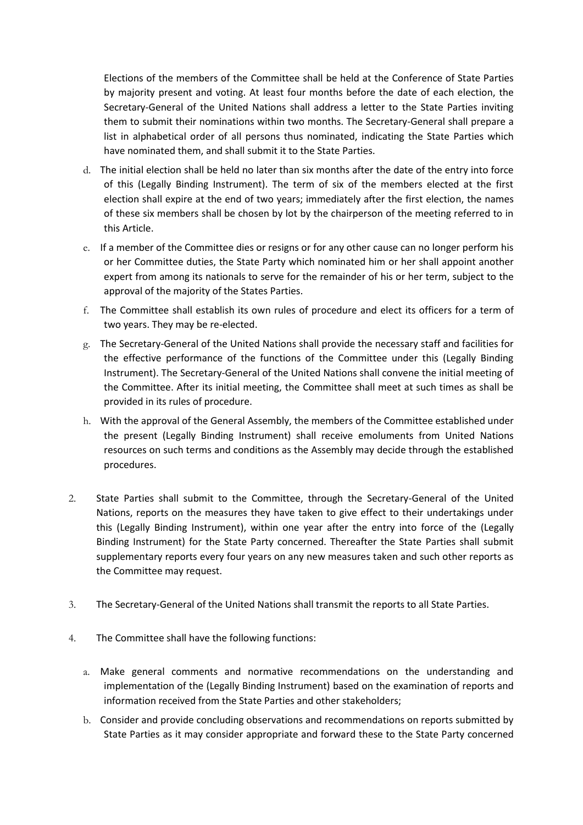Elections of the members of the Committee shall be held at the Conference of State Parties by majority present and voting. At least four months before the date of each election, the Secretary-General of the United Nations shall address a letter to the State Parties inviting them to submit their nominations within two months. The Secretary-General shall prepare a list in alphabetical order of all persons thus nominated, indicating the State Parties which have nominated them, and shall submit it to the State Parties.

- d. The initial election shall be held no later than six months after the date of the entry into force of this (Legally Binding Instrument). The term of six of the members elected at the first election shall expire at the end of two years; immediately after the first election, the names of these six members shall be chosen by lot by the chairperson of the meeting referred to in this Article.
- e. If a member of the Committee dies or resigns or for any other cause can no longer perform his or her Committee duties, the State Party which nominated him or her shall appoint another expert from among its nationals to serve for the remainder of his or her term, subject to the approval of the majority of the States Parties.
- f. The Committee shall establish its own rules of procedure and elect its officers for a term of two years. They may be re-elected.
- g. The Secretary-General of the United Nations shall provide the necessary staff and facilities for the effective performance of the functions of the Committee under this (Legally Binding Instrument). The Secretary-General of the United Nations shall convene the initial meeting of the Committee. After its initial meeting, the Committee shall meet at such times as shall be provided in its rules of procedure.
- h. With the approval of the General Assembly, the members of the Committee established under the present (Legally Binding Instrument) shall receive emoluments from United Nations resources on such terms and conditions as the Assembly may decide through the established procedures.
- 2. State Parties shall submit to the Committee, through the Secretary-General of the United Nations, reports on the measures they have taken to give effect to their undertakings under this (Legally Binding Instrument), within one year after the entry into force of the (Legally Binding Instrument) for the State Party concerned. Thereafter the State Parties shall submit supplementary reports every four years on any new measures taken and such other reports as the Committee may request.
- 3. The Secretary-General of the United Nations shall transmit the reports to all State Parties.
- 4. The Committee shall have the following functions:
	- a. Make general comments and normative recommendations on the understanding and implementation of the (Legally Binding Instrument) based on the examination of reports and information received from the State Parties and other stakeholders;
	- b. Consider and provide concluding observations and recommendations on reports submitted by State Parties as it may consider appropriate and forward these to the State Party concerned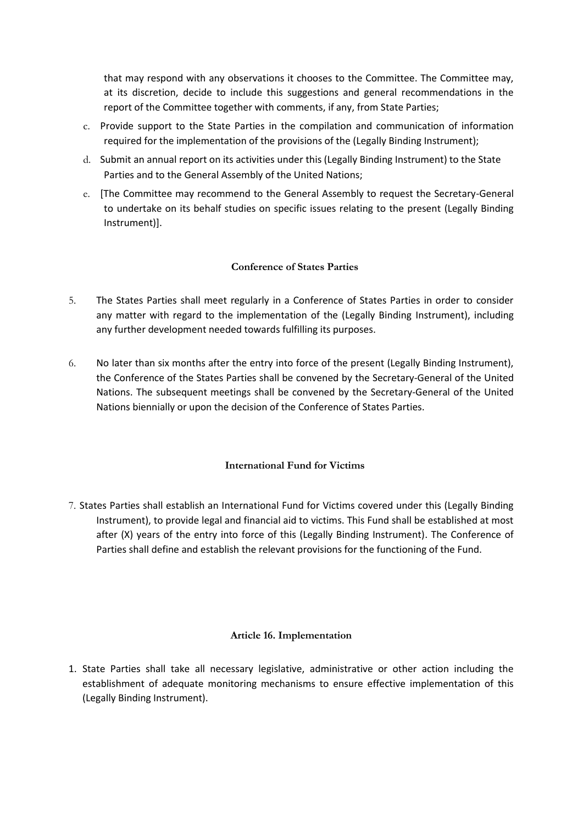that may respond with any observations it chooses to the Committee. The Committee may, at its discretion, decide to include this suggestions and general recommendations in the report of the Committee together with comments, if any, from State Parties;

- c. Provide support to the State Parties in the compilation and communication of information required for the implementation of the provisions of the (Legally Binding Instrument);
- d. Submit an annual report on its activities under this (Legally Binding Instrument) to the State Parties and to the General Assembly of the United Nations;
- e. [The Committee may recommend to the General Assembly to request the Secretary-General to undertake on its behalf studies on specific issues relating to the present (Legally Binding Instrument)].

### **Conference of States Parties**

- <span id="page-17-0"></span>5. The States Parties shall meet regularly in a Conference of States Parties in order to consider any matter with regard to the implementation of the (Legally Binding Instrument), including any further development needed towards fulfilling its purposes.
- 6. No later than six months after the entry into force of the present (Legally Binding Instrument), the Conference of the States Parties shall be convened by the Secretary-General of the United Nations. The subsequent meetings shall be convened by the Secretary-General of the United Nations biennially or upon the decision of the Conference of States Parties.

### **International Fund for Victims**

<span id="page-17-1"></span>7. States Parties shall establish an International Fund for Victims covered under this (Legally Binding Instrument), to provide legal and financial aid to victims. This Fund shall be established at most after (X) years of the entry into force of this (Legally Binding Instrument). The Conference of Parties shall define and establish the relevant provisions for the functioning of the Fund.

### **Article 16. Implementation**

<span id="page-17-2"></span>1. State Parties shall take all necessary legislative, administrative or other action including the establishment of adequate monitoring mechanisms to ensure effective implementation of this (Legally Binding Instrument).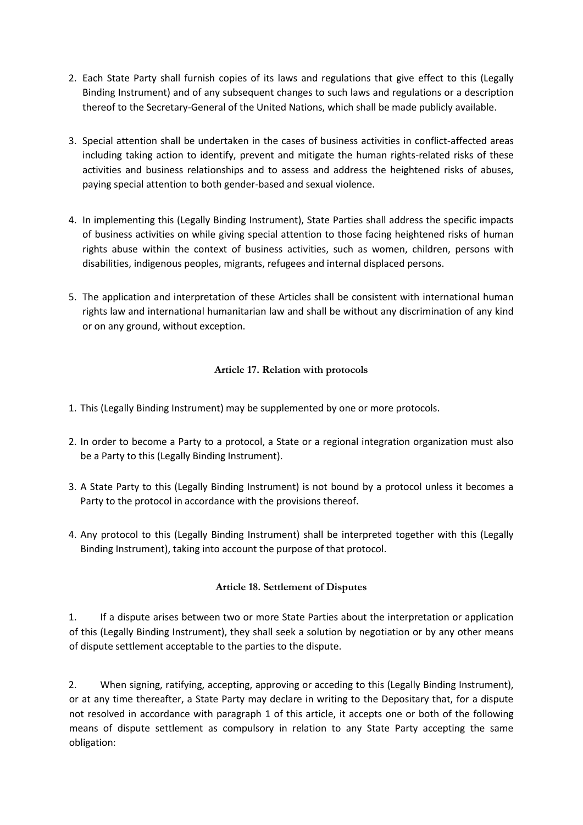- 2. Each State Party shall furnish copies of its laws and regulations that give effect to this (Legally Binding Instrument) and of any subsequent changes to such laws and regulations or a description thereof to the Secretary-General of the United Nations, which shall be made publicly available.
- 3. Special attention shall be undertaken in the cases of business activities in conflict-affected areas including taking action to identify, prevent and mitigate the human rights-related risks of these activities and business relationships and to assess and address the heightened risks of abuses, paying special attention to both gender-based and sexual violence.
- 4. In implementing this (Legally Binding Instrument), State Parties shall address the specific impacts of business activities on while giving special attention to those facing heightened risks of human rights abuse within the context of business activities, such as women, children, persons with disabilities, indigenous peoples, migrants, refugees and internal displaced persons.
- 5. The application and interpretation of these Articles shall be consistent with international human rights law and international humanitarian law and shall be without any discrimination of any kind or on any ground, without exception.

# **Article 17. Relation with protocols**

- <span id="page-18-0"></span>1. This (Legally Binding Instrument) may be supplemented by one or more protocols.
- 2. In order to become a Party to a protocol, a State or a regional integration organization must also be a Party to this (Legally Binding Instrument).
- 3. A State Party to this (Legally Binding Instrument) is not bound by a protocol unless it becomes a Party to the protocol in accordance with the provisions thereof.
- 4. Any protocol to this (Legally Binding Instrument) shall be interpreted together with this (Legally Binding Instrument), taking into account the purpose of that protocol.

### **Article 18. Settlement of Disputes**

<span id="page-18-1"></span>1. If a dispute arises between two or more State Parties about the interpretation or application of this (Legally Binding Instrument), they shall seek a solution by negotiation or by any other means of dispute settlement acceptable to the parties to the dispute.

2. When signing, ratifying, accepting, approving or acceding to this (Legally Binding Instrument), or at any time thereafter, a State Party may declare in writing to the Depositary that, for a dispute not resolved in accordance with paragraph 1 of this article, it accepts one or both of the following means of dispute settlement as compulsory in relation to any State Party accepting the same obligation: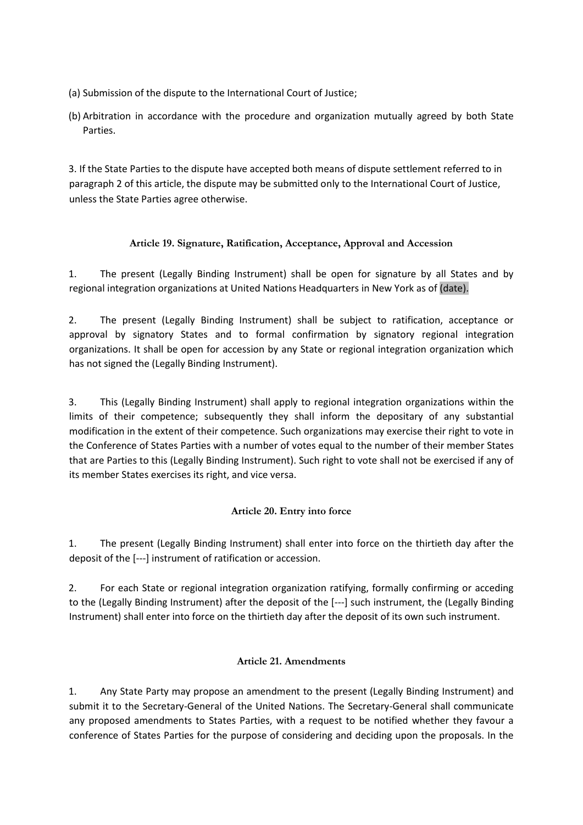- (a) Submission of the dispute to the International Court of Justice;
- (b) Arbitration in accordance with the procedure and organization mutually agreed by both State Parties.

3. If the State Parties to the dispute have accepted both means of dispute settlement referred to in paragraph 2 of this article, the dispute may be submitted only to the International Court of Justice, unless the State Parties agree otherwise.

# **Article 19. Signature, Ratification, Acceptance, Approval and Accession**

<span id="page-19-0"></span>1. The present (Legally Binding Instrument) shall be open for signature by all States and by regional integration organizations at United Nations Headquarters in New York as of (date).

2. The present (Legally Binding Instrument) shall be subject to ratification, acceptance or approval by signatory States and to formal confirmation by signatory regional integration organizations. It shall be open for accession by any State or regional integration organization which has not signed the (Legally Binding Instrument).

3. This (Legally Binding Instrument) shall apply to regional integration organizations within the limits of their competence; subsequently they shall inform the depositary of any substantial modification in the extent of their competence. Such organizations may exercise their right to vote in the Conference of States Parties with a number of votes equal to the number of their member States that are Parties to this (Legally Binding Instrument). Such right to vote shall not be exercised if any of its member States exercises its right, and vice versa.

# **Article 20. Entry into force**

<span id="page-19-1"></span>1. The present (Legally Binding Instrument) shall enter into force on the thirtieth day after the deposit of the [---] instrument of ratification or accession.

2. For each State or regional integration organization ratifying, formally confirming or acceding to the (Legally Binding Instrument) after the deposit of the [---] such instrument, the (Legally Binding Instrument) shall enter into force on the thirtieth day after the deposit of its own such instrument.

### **Article 21. Amendments**

<span id="page-19-2"></span>1. Any State Party may propose an amendment to the present (Legally Binding Instrument) and submit it to the Secretary-General of the United Nations. The Secretary-General shall communicate any proposed amendments to States Parties, with a request to be notified whether they favour a conference of States Parties for the purpose of considering and deciding upon the proposals. In the